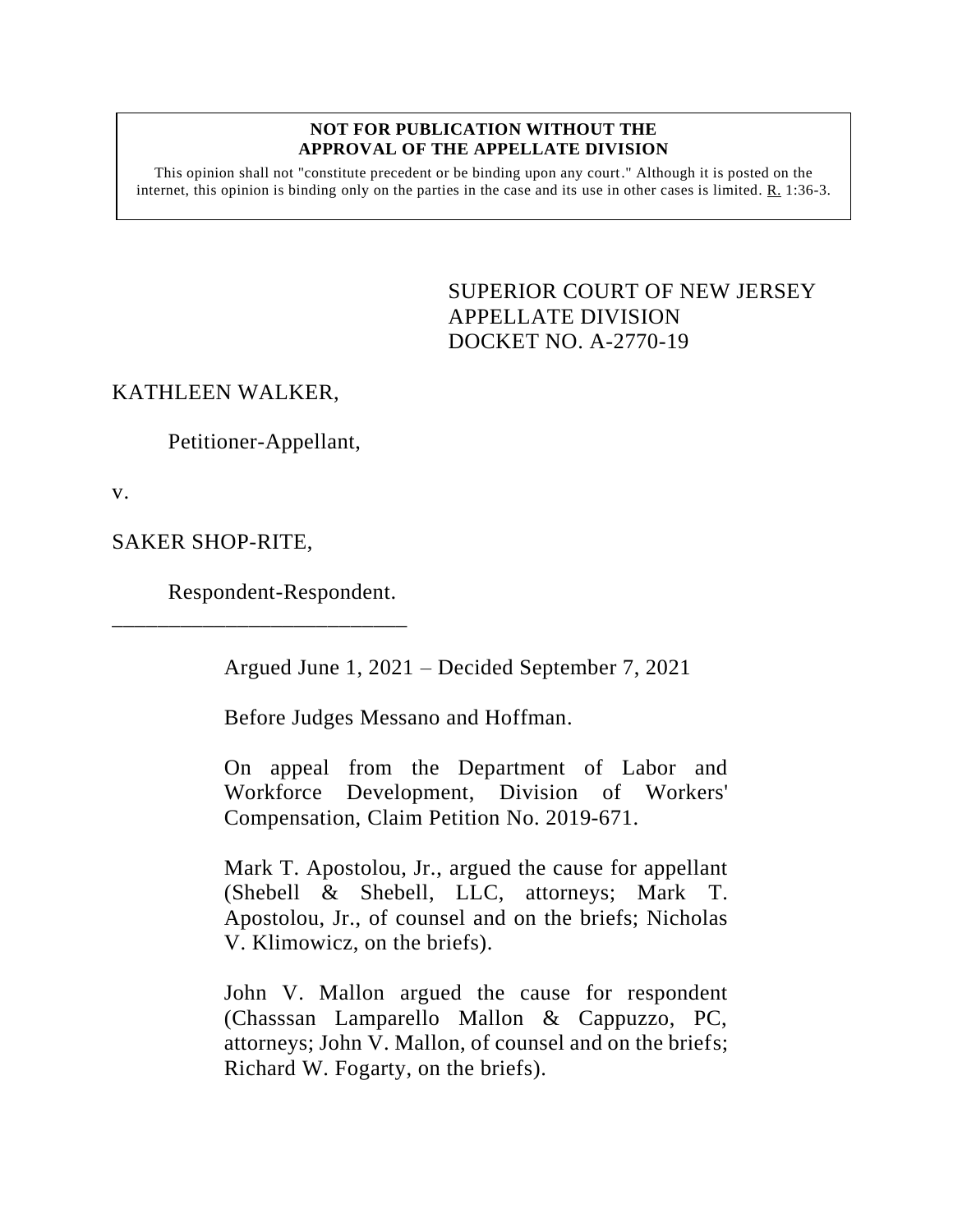#### **NOT FOR PUBLICATION WITHOUT THE APPROVAL OF THE APPELLATE DIVISION**

This opinion shall not "constitute precedent or be binding upon any court." Although it is posted on the internet, this opinion is binding only on the parties in the case and its use in other cases is limited.  $R_1$  1:36-3.

> <span id="page-0-0"></span>SUPERIOR COURT OF NEW JERSEY APPELLATE DIVISION DOCKET NO. A-2770-19

# KATHLEEN WALKER,

Petitioner-Appellant,

v.

SAKER SHOP-RITE,

Respondent-Respondent.

\_\_\_\_\_\_\_\_\_\_\_\_\_\_\_\_\_\_\_\_\_\_\_\_\_\_

Argued June 1, 2021 – Decided September 7, 2021

Before Judges Messano and Hoffman.

On appeal from the Department of Labor and Workforce Development, Division of Workers' Compensation, Claim Petition No. 2019-671.

Mark T. Apostolou, Jr., argued the cause for appellant (Shebell & Shebell, LLC, attorneys; Mark T. Apostolou, Jr., of counsel and on the briefs; Nicholas V. Klimowicz, on the briefs).

John V. Mallon argued the cause for respondent (Chasssan Lamparello Mallon & Cappuzzo, PC, attorneys; John V. Mallon, of counsel and on the briefs; Richard W. Fogarty, on the briefs).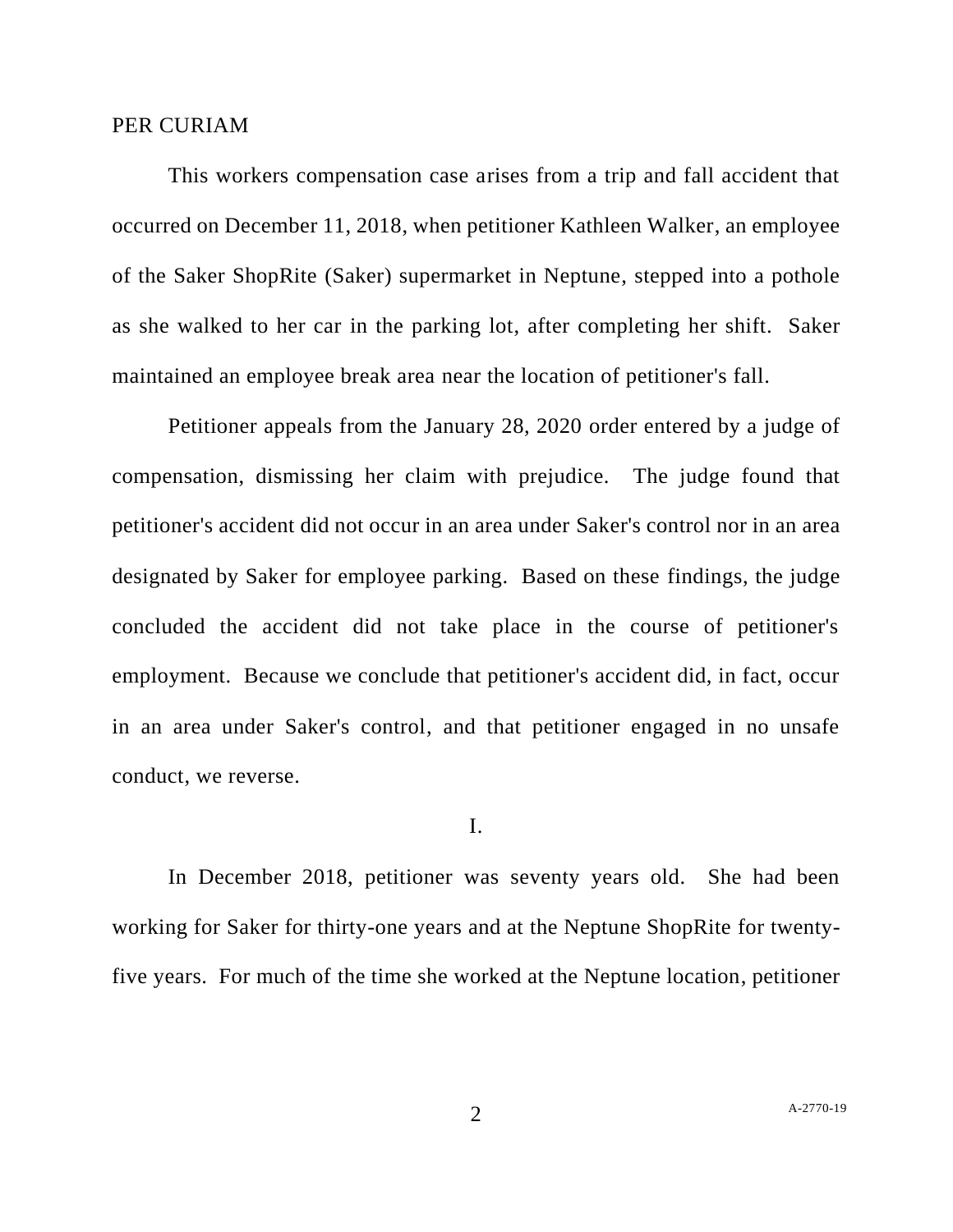### PER CURIAM

This workers compensation case arises from a trip and fall accident that occurred on December 11, 2018, when petitioner Kathleen Walker, an employee of the Saker ShopRite (Saker) supermarket in Neptune, stepped into a pothole as she walked to her car in the parking lot, after completing her shift. Saker maintained an employee break area near the location of petitioner's fall.

Petitioner appeals from the January 28, 2020 order entered by a judge of compensation, dismissing her claim with prejudice. The judge found that petitioner's accident did not occur in an area under Saker's control nor in an area designated by Saker for employee parking. Based on these findings, the judge concluded the accident did not take place in the course of petitioner's employment. Because we conclude that petitioner's accident did, in fact, occur in an area under Saker's control, and that petitioner engaged in no unsafe conduct, we reverse.

I.

In December 2018, petitioner was seventy years old. She had been working for Saker for thirty-one years and at the Neptune ShopRite for twentyfive years. For much of the time she worked at the Neptune location, petitioner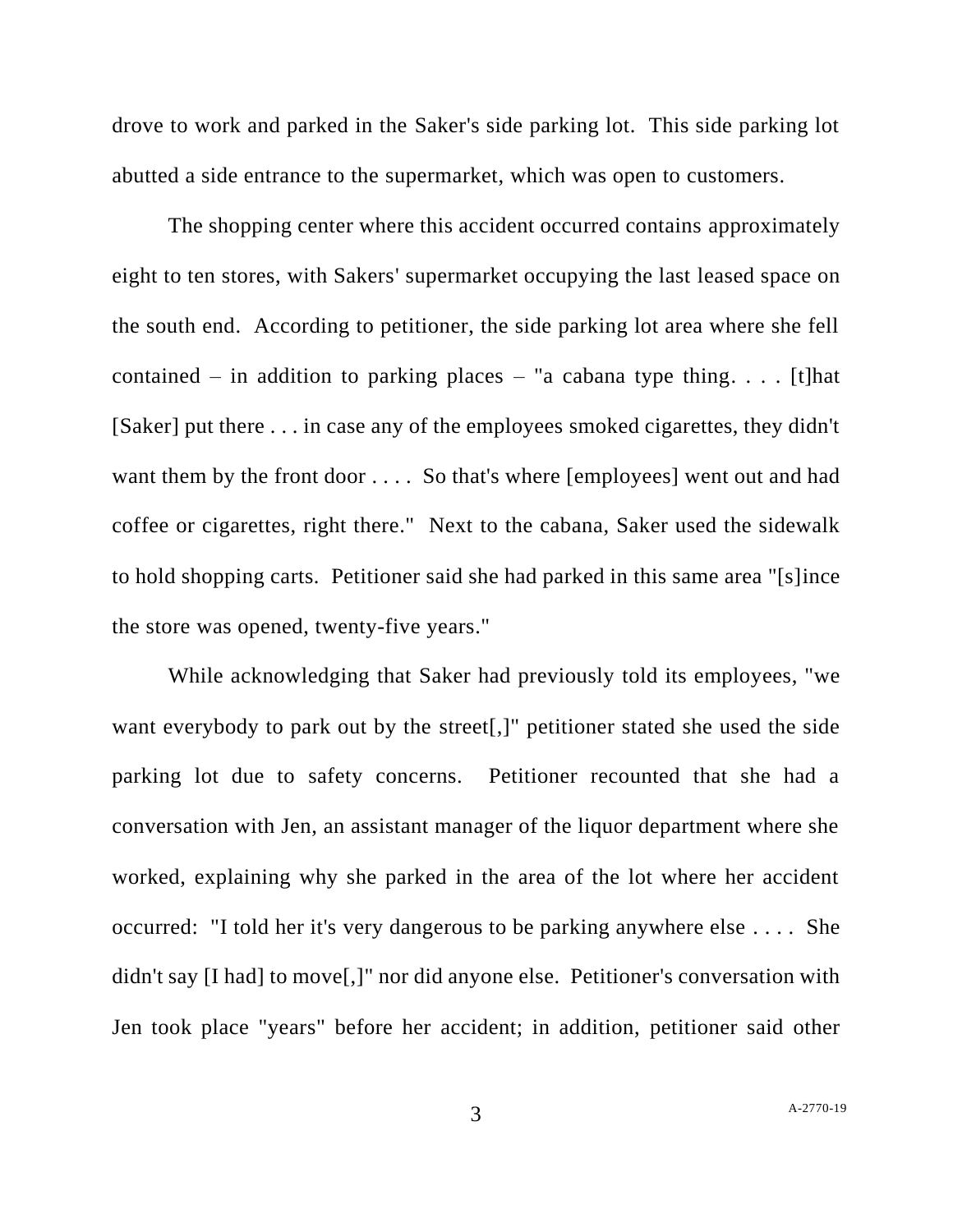drove to work and parked in the Saker's side parking lot. This side parking lot abutted a side entrance to the supermarket, which was open to customers.

The shopping center where this accident occurred contains approximately eight to ten stores, with Sakers' supermarket occupying the last leased space on the south end. According to petitioner, the side parking lot area where she fell contained – in addition to parking places – "a cabana type thing. . . . [t] hat [Saker] put there . . . in case any of the employees smoked cigarettes, they didn't want them by the front door . . . . So that's where [employees] went out and had coffee or cigarettes, right there." Next to the cabana, Saker used the sidewalk to hold shopping carts. Petitioner said she had parked in this same area "[s]ince the store was opened, twenty-five years."

While acknowledging that Saker had previously told its employees, "we want everybody to park out by the street[,]" petitioner stated she used the side parking lot due to safety concerns. Petitioner recounted that she had a conversation with Jen, an assistant manager of the liquor department where she worked, explaining why she parked in the area of the lot where her accident occurred: "I told her it's very dangerous to be parking anywhere else . . . . She didn't say [I had] to move[,]" nor did anyone else. Petitioner's conversation with Jen took place "years" before her accident; in addition, petitioner said other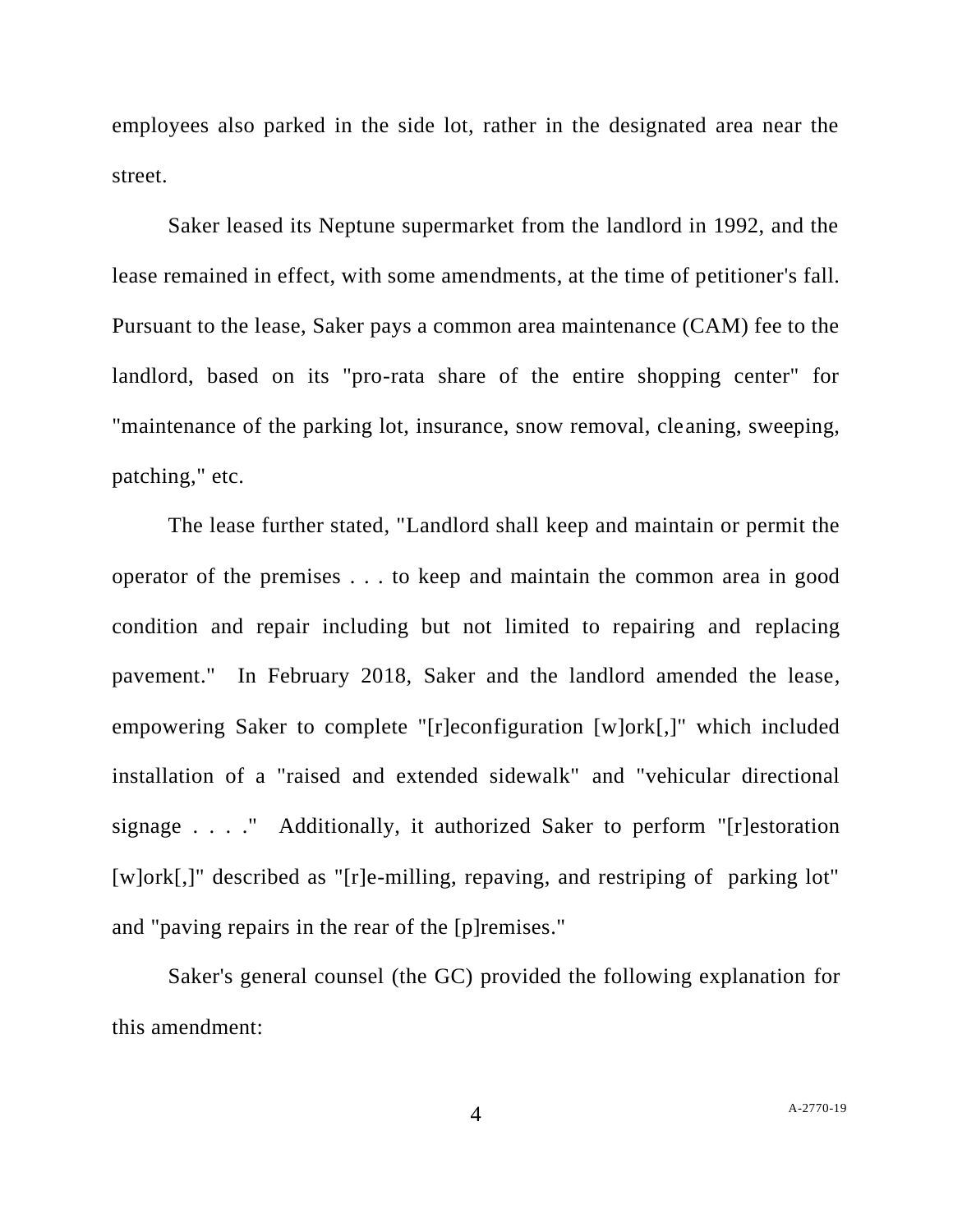employees also parked in the side lot, rather in the designated area near the street.

Saker leased its Neptune supermarket from the landlord in 1992, and the lease remained in effect, with some amendments, at the time of petitioner's fall. Pursuant to the lease, Saker pays a common area maintenance (CAM) fee to the landlord, based on its "pro-rata share of the entire shopping center" for "maintenance of the parking lot, insurance, snow removal, cleaning, sweeping, patching," etc.

The lease further stated, "Landlord shall keep and maintain or permit the operator of the premises . . . to keep and maintain the common area in good condition and repair including but not limited to repairing and replacing pavement." In February 2018, Saker and the landlord amended the lease, empowering Saker to complete "[r]econfiguration [w]ork[,]" which included installation of a "raised and extended sidewalk" and "vehicular directional signage . . . ." Additionally, it authorized Saker to perform "[r]estoration [w]ork[,]" described as "[r]e-milling, repaving, and restriping of parking lot" and "paving repairs in the rear of the [p]remises."

Saker's general counsel (the GC) provided the following explanation for this amendment: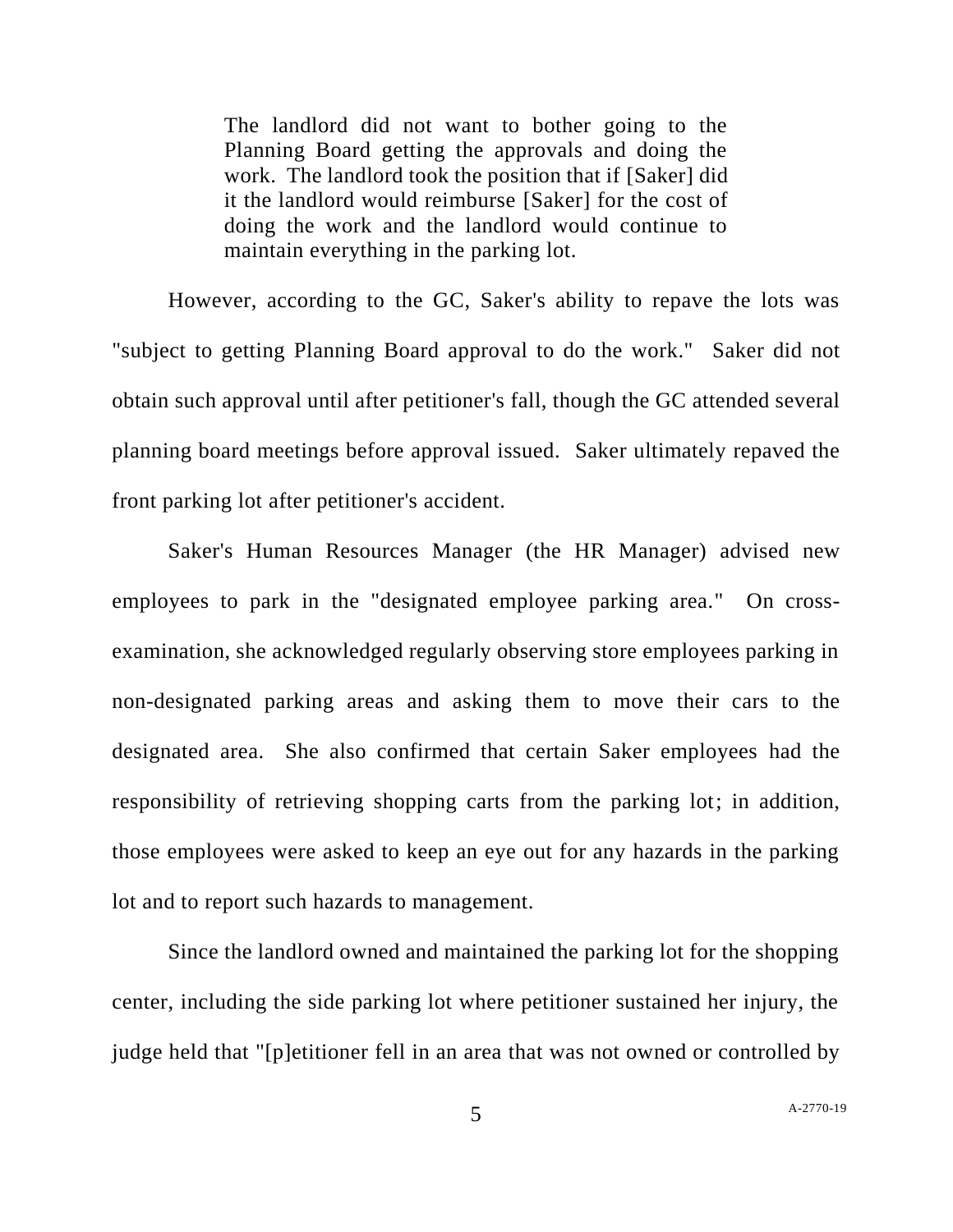The landlord did not want to bother going to the Planning Board getting the approvals and doing the work. The landlord took the position that if [Saker] did it the landlord would reimburse [Saker] for the cost of doing the work and the landlord would continue to maintain everything in the parking lot.

However, according to the GC, Saker's ability to repave the lots was "subject to getting Planning Board approval to do the work." Saker did not obtain such approval until after petitioner's fall, though the GC attended several planning board meetings before approval issued. Saker ultimately repaved the front parking lot after petitioner's accident.

Saker's Human Resources Manager (the HR Manager) advised new employees to park in the "designated employee parking area." On crossexamination, she acknowledged regularly observing store employees parking in non-designated parking areas and asking them to move their cars to the designated area. She also confirmed that certain Saker employees had the responsibility of retrieving shopping carts from the parking lot; in addition, those employees were asked to keep an eye out for any hazards in the parking lot and to report such hazards to management.

Since the landlord owned and maintained the parking lot for the shopping center, including the side parking lot where petitioner sustained her injury, the judge held that "[p]etitioner fell in an area that was not owned or controlled by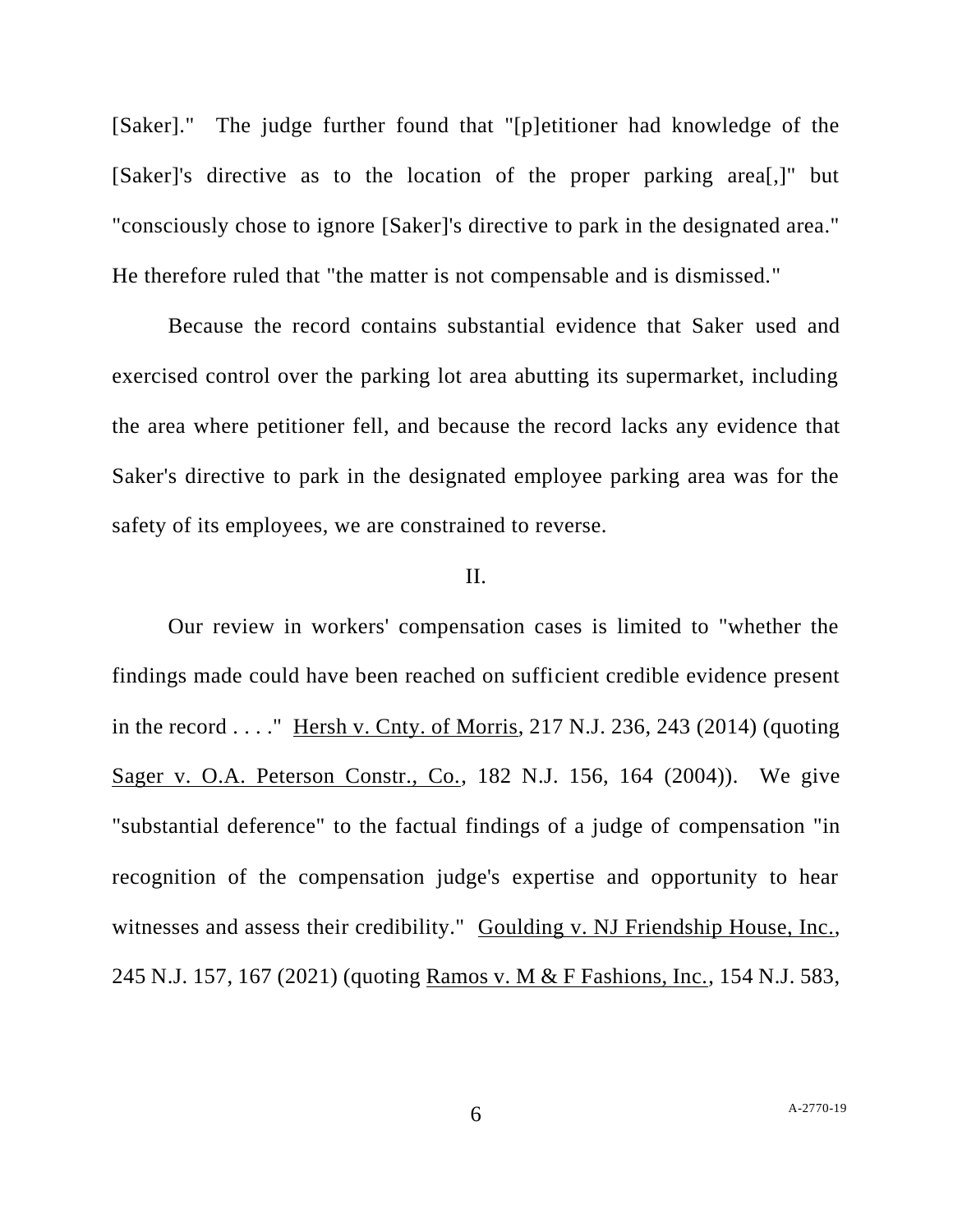[Saker]." The judge further found that "[p]etitioner had knowledge of the [Saker]'s directive as to the location of the proper parking area[,]" but "consciously chose to ignore [Saker]'s directive to park in the designated area." He therefore ruled that "the matter is not compensable and is dismissed."

Because the record contains substantial evidence that Saker used and exercised control over the parking lot area abutting its supermarket, including the area where petitioner fell, and because the record lacks any evidence that Saker's directive to park in the designated employee parking area was for the safety of its employees, we are constrained to reverse.

# II.

Our review in workers' compensation cases is limited to "whether the findings made could have been reached on sufficient credible evidence present in the record . . . ." Hersh v. Cnty. of Morris, 217 N.J. 236, 243 (2014) (quoting Sager v. O.A. Peterson Constr., Co., 182 N.J. 156, 164 (2004)). We give "substantial deference" to the factual findings of a judge of compensation "in recognition of the compensation judge's expertise and opportunity to hear witnesses and assess their credibility." Goulding v. NJ Friendship House, Inc., 245 N.J. 157, 167 (2021) (quoting Ramos v. M & F Fashions, Inc., 154 N.J. 583,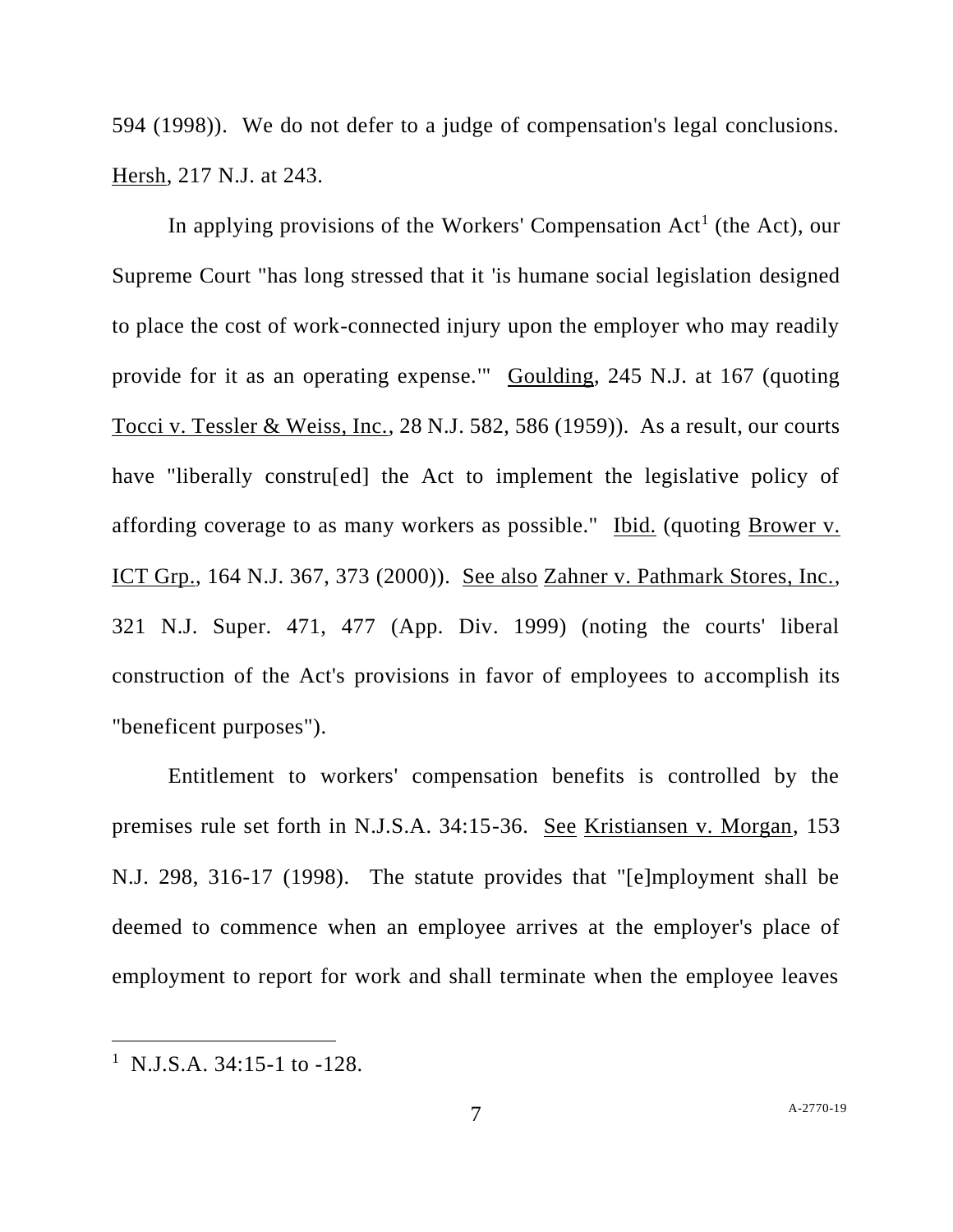594 (1998)). We do not defer to a judge of compensation's legal conclusions. Hersh, 217 N.J. at 243.

In applying provisions of the Workers' Compensation  $Act<sup>1</sup>$  (the Act), our Supreme Court "has long stressed that it 'is humane social legislation designed to place the cost of work-connected injury upon the employer who may readily provide for it as an operating expense.'" Goulding, 245 N.J. at 167 (quoting Tocci v. Tessler & Weiss, Inc., 28 N.J. 582, 586 (1959)). As a result, our courts have "liberally constru[ed] the Act to implement the legislative policy of affording coverage to as many workers as possible." Ibid. (quoting Brower v. ICT Grp., 164 N.J. 367, 373 (2000)). See also Zahner v. Pathmark Stores, Inc., 321 N.J. Super. 471, 477 (App. Div. 1999) (noting the courts' liberal construction of the Act's provisions in favor of employees to accomplish its "beneficent purposes").

Entitlement to workers' compensation benefits is controlled by the premises rule set forth in N.J.S.A. 34:15-36. See Kristiansen v. Morgan, 153 N.J. 298, 316-17 (1998). The statute provides that "[e]mployment shall be deemed to commence when an employee arrives at the employer's place of employment to report for work and shall terminate when the employee leaves

<sup>&</sup>lt;sup>1</sup> N.J.S.A. 34:15-1 to -128.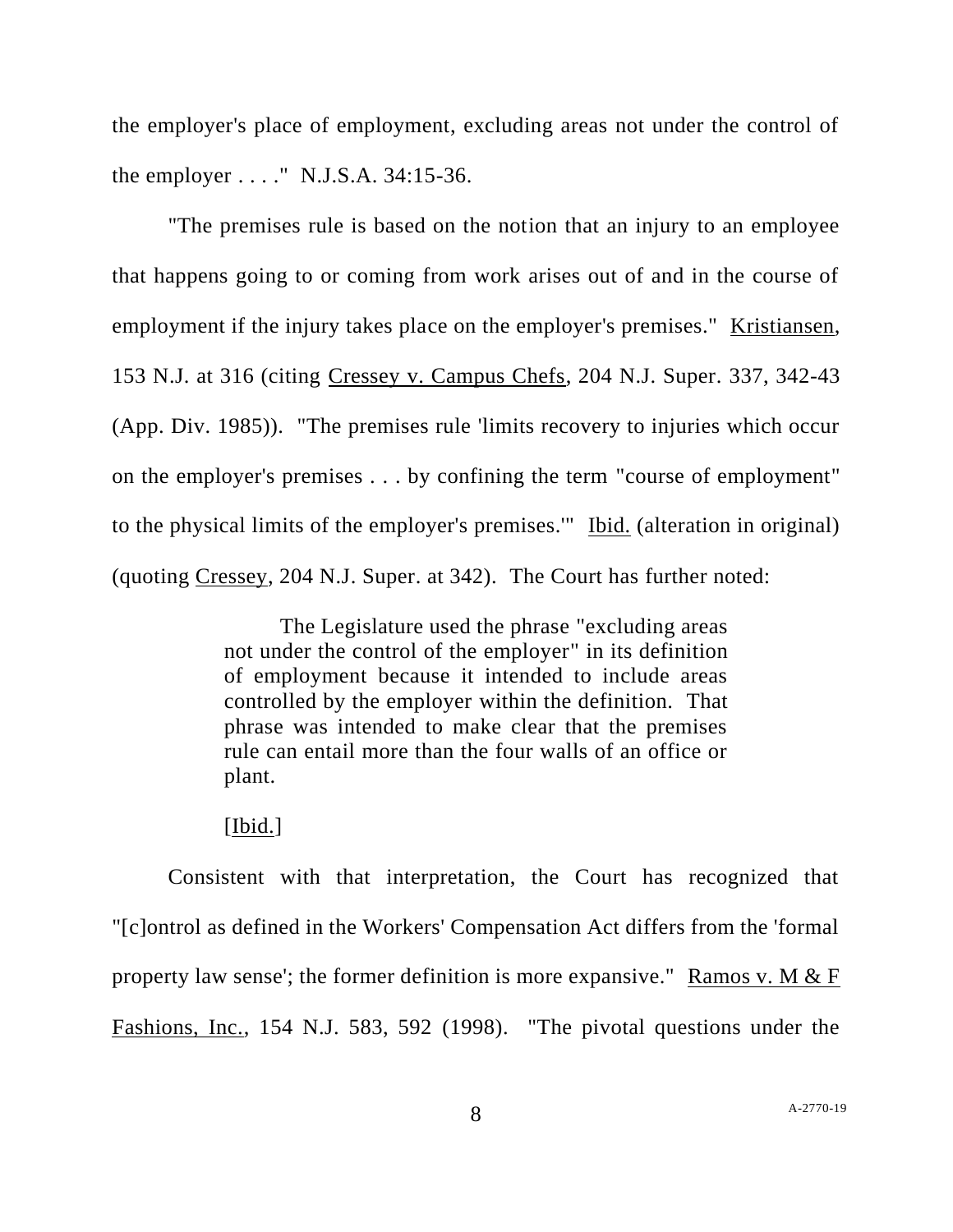the employer's place of employment, excluding areas not under the control of the employer . . . ." N.J.S.A. 34:15-36.

"The premises rule is based on the notion that an injury to an employee that happens going to or coming from work arises out of and in the course of employment if the injury takes place on the employer's premises." Kristiansen, 153 N.J. at 316 (citing Cressey v. Campus Chefs, 204 N.J. Super. 337, 342-43 (App. Div. 1985)). "The premises rule 'limits recovery to injuries which occur on the employer's premises . . . by confining the term "course of employment" to the physical limits of the employer's premises.'" Ibid. (alteration in original) (quoting Cressey, 204 N.J. Super. at 342). The Court has further noted:

> The Legislature used the phrase "excluding areas not under the control of the employer" in its definition of employment because it intended to include areas controlled by the employer within the definition. That phrase was intended to make clear that the premises rule can entail more than the four walls of an office or plant.

### [Ibid.]

Consistent with that interpretation, the Court has recognized that "[c]ontrol as defined in the Workers' Compensation Act differs from the 'formal property law sense'; the former definition is more expansive." Ramos v. M  $&$  F Fashions, Inc., 154 N.J. 583, 592 (1998). "The pivotal questions under the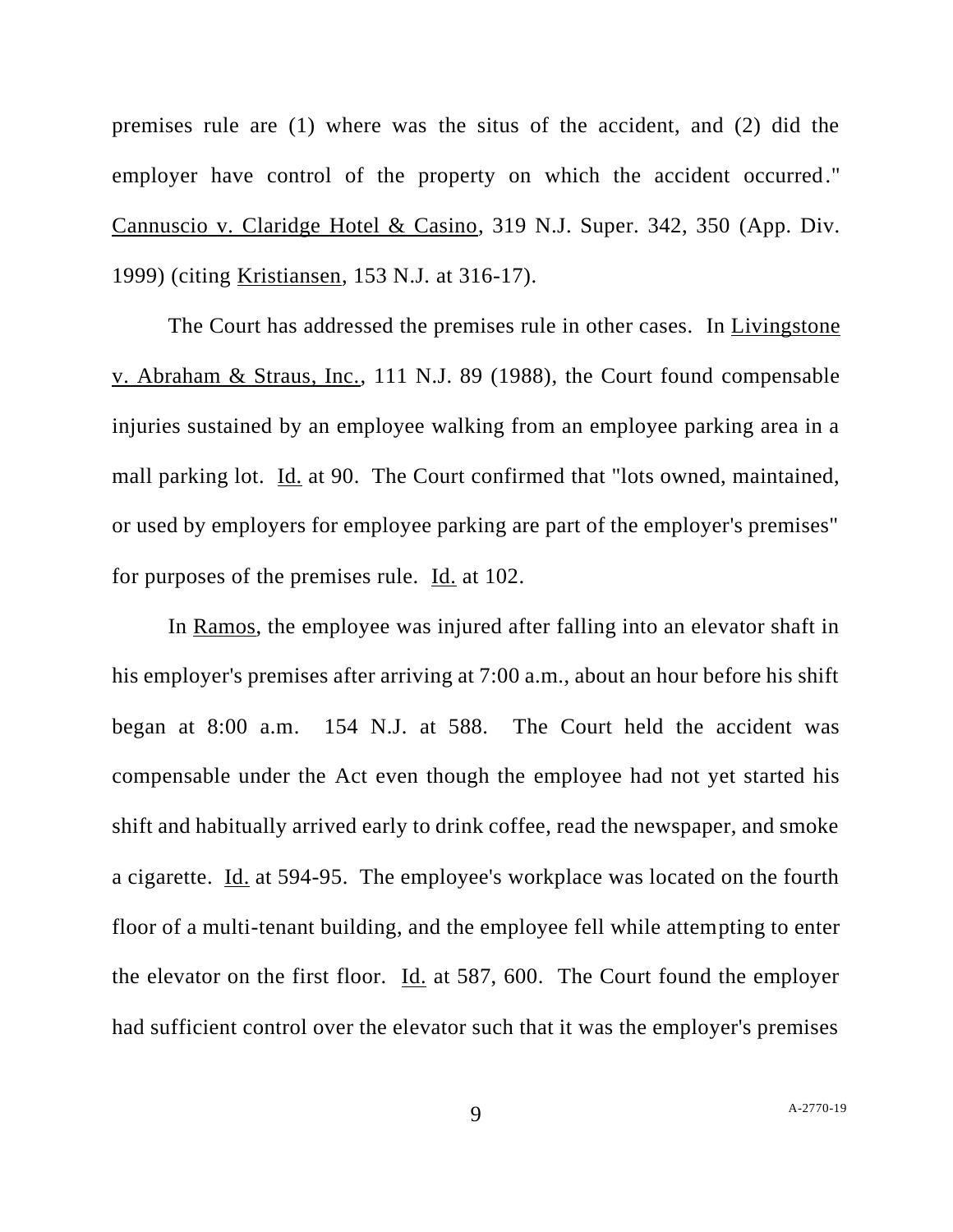premises rule are (1) where was the situs of the accident, and (2) did the employer have control of the property on which the accident occurred." Cannuscio v. Claridge Hotel & Casino, 319 N.J. Super. 342, 350 (App. Div. 1999) (citing Kristiansen, 153 N.J. at 316-17).

The Court has addressed the premises rule in other cases. In Livingstone v. Abraham & Straus, Inc., 111 N.J. 89 (1988), the Court found compensable injuries sustained by an employee walking from an employee parking area in a mall parking lot. Id. at 90. The Court confirmed that "lots owned, maintained, or used by employers for employee parking are part of the employer's premises" for purposes of the premises rule. Id. at 102.

In Ramos, the employee was injured after falling into an elevator shaft in his employer's premises after arriving at 7:00 a.m., about an hour before his shift began at 8:00 a.m. 154 N.J. at 588. The Court held the accident was compensable under the Act even though the employee had not yet started his shift and habitually arrived early to drink coffee, read the newspaper, and smoke a cigarette. Id. at 594-95. The employee's workplace was located on the fourth floor of a multi-tenant building, and the employee fell while attempting to enter the elevator on the first floor. Id. at 587, 600. The Court found the employer had sufficient control over the elevator such that it was the employer's premises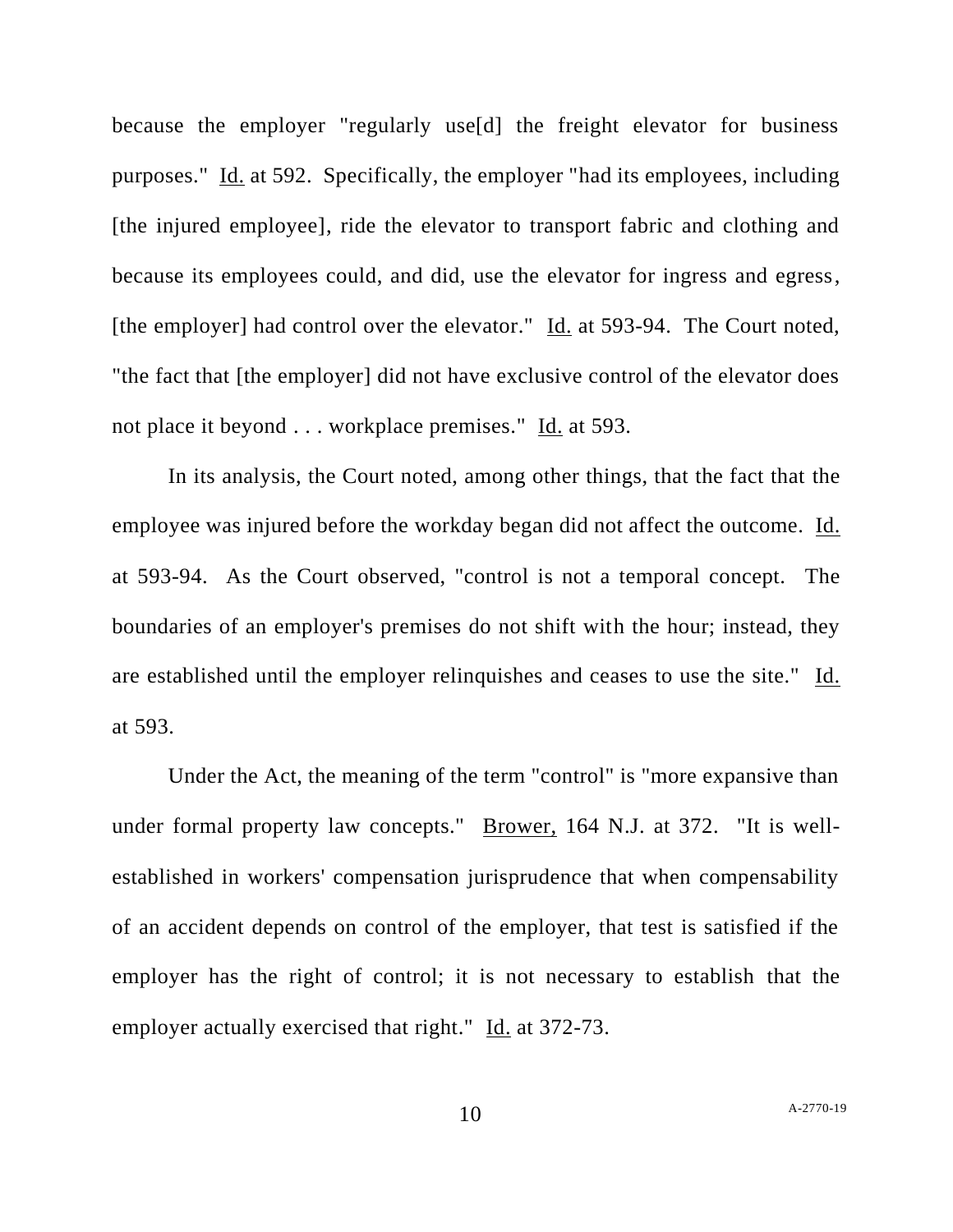because the employer "regularly use[d] the freight elevator for business purposes." Id. at 592. Specifically, the employer "had its employees, including [the injured employee], ride the elevator to transport fabric and clothing and because its employees could, and did, use the elevator for ingress and egress, [the employer] had control over the elevator." Id. at 593-94. The Court noted, "the fact that [the employer] did not have exclusive control of the elevator does not place it beyond . . . workplace premises." Id. at 593.

In its analysis, the Court noted, among other things, that the fact that the employee was injured before the workday began did not affect the outcome. Id. at 593-94. As the Court observed, "control is not a temporal concept. The boundaries of an employer's premises do not shift with the hour; instead, they are established until the employer relinquishes and ceases to use the site." Id. at 593.

Under the Act, the meaning of the term "control" is "more expansive than under formal property law concepts." Brower, 164 N.J. at 372. "It is wellestablished in workers' compensation jurisprudence that when compensability of an accident depends on control of the employer, that test is satisfied if the employer has the right of control; it is not necessary to establish that the employer actually exercised that right." Id. at 372-73.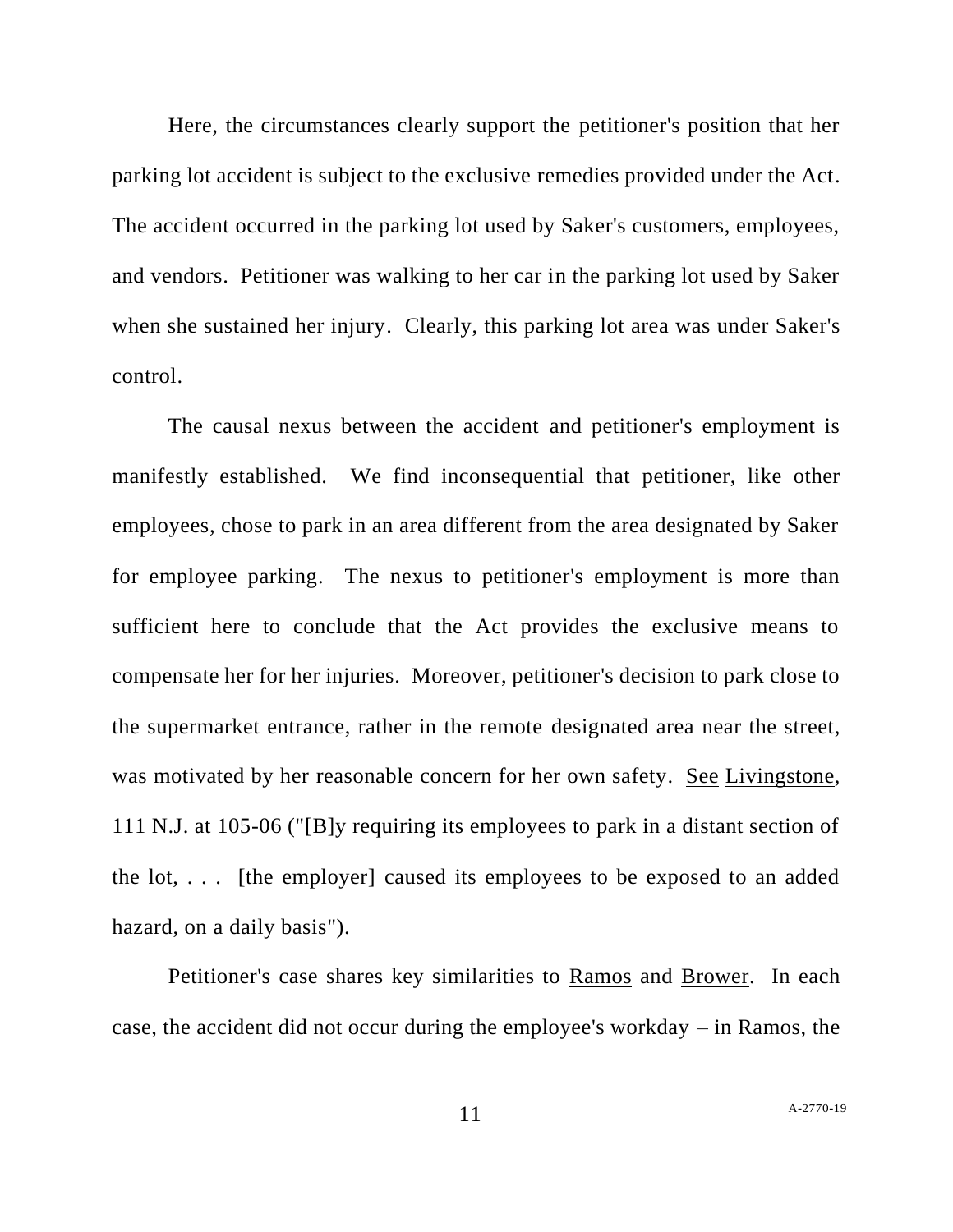Here, the circumstances clearly support the petitioner's position that her parking lot accident is subject to the exclusive remedies provided under the Act. The accident occurred in the parking lot used by Saker's customers, employees, and vendors. Petitioner was walking to her car in the parking lot used by Saker when she sustained her injury. Clearly, this parking lot area was under Saker's control.

The causal nexus between the accident and petitioner's employment is manifestly established. We find inconsequential that petitioner, like other employees, chose to park in an area different from the area designated by Saker for employee parking. The nexus to petitioner's employment is more than sufficient here to conclude that the Act provides the exclusive means to compensate her for her injuries. Moreover, petitioner's decision to park close to the supermarket entrance, rather in the remote designated area near the street, was motivated by her reasonable concern for her own safety. See Livingstone, 111 N.J. at 105-06 ("[B]y requiring its employees to park in a distant section of the lot, . . . [the employer] caused its employees to be exposed to an added hazard, on a daily basis").

Petitioner's case shares key similarities to Ramos and Brower. In each case, the accident did not occur during the employee's workday – in Ramos, the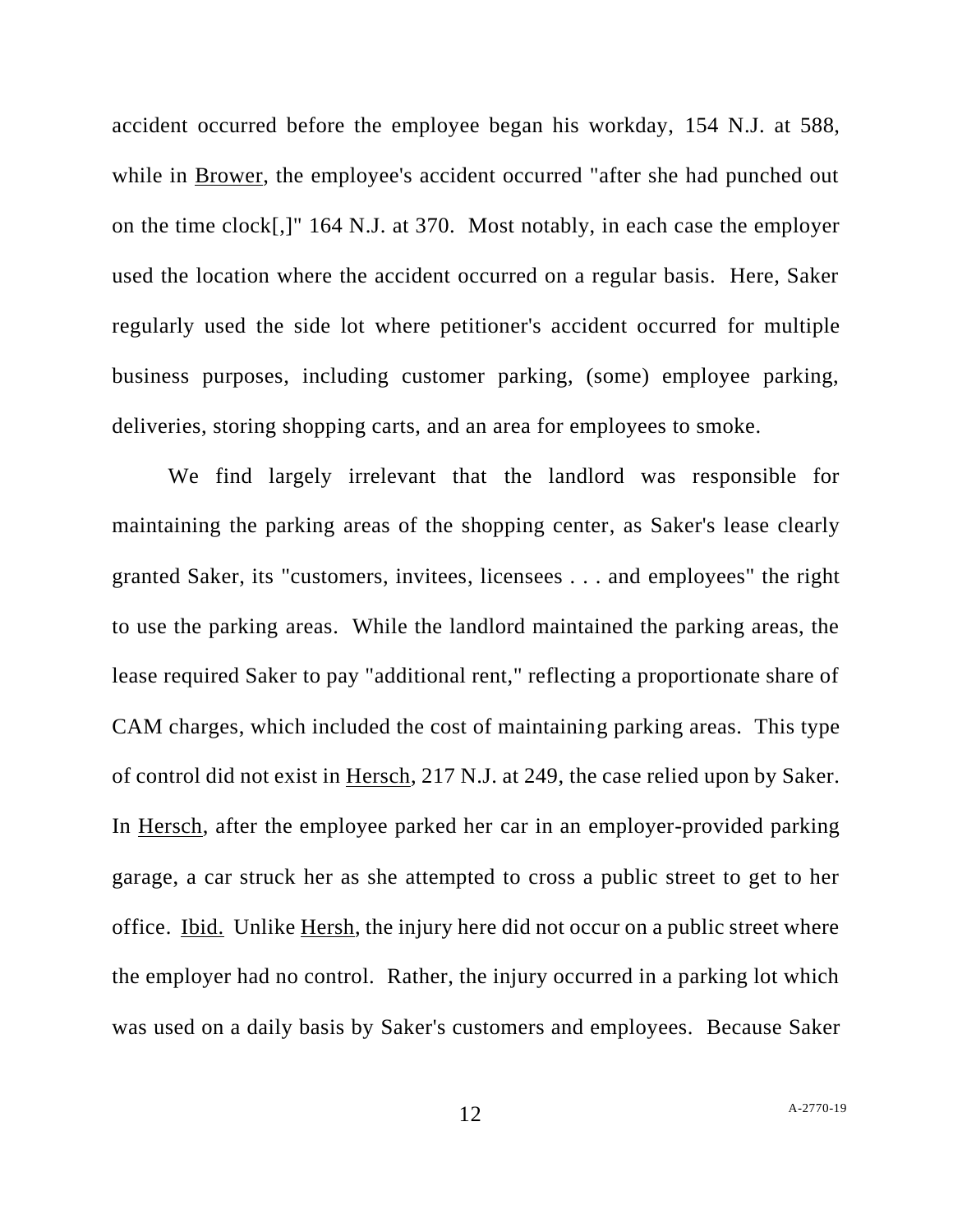accident occurred before the employee began his workday, 154 N.J. at 588, while in Brower, the employee's accident occurred "after she had punched out on the time clock[,]" 164 N.J. at 370. Most notably, in each case the employer used the location where the accident occurred on a regular basis. Here, Saker regularly used the side lot where petitioner's accident occurred for multiple business purposes, including customer parking, (some) employee parking, deliveries, storing shopping carts, and an area for employees to smoke.

We find largely irrelevant that the landlord was responsible for maintaining the parking areas of the shopping center, as Saker's lease clearly granted Saker, its "customers, invitees, licensees . . . and employees" the right to use the parking areas. While the landlord maintained the parking areas, the lease required Saker to pay "additional rent," reflecting a proportionate share of CAM charges, which included the cost of maintaining parking areas. This type of control did not exist in Hersch, 217 N.J. at 249, the case relied upon by Saker. In Hersch, after the employee parked her car in an employer-provided parking garage, a car struck her as she attempted to cross a public street to get to her office. Ibid. Unlike Hersh, the injury here did not occur on a public street where the employer had no control. Rather, the injury occurred in a parking lot which was used on a daily basis by Saker's customers and employees. Because Saker